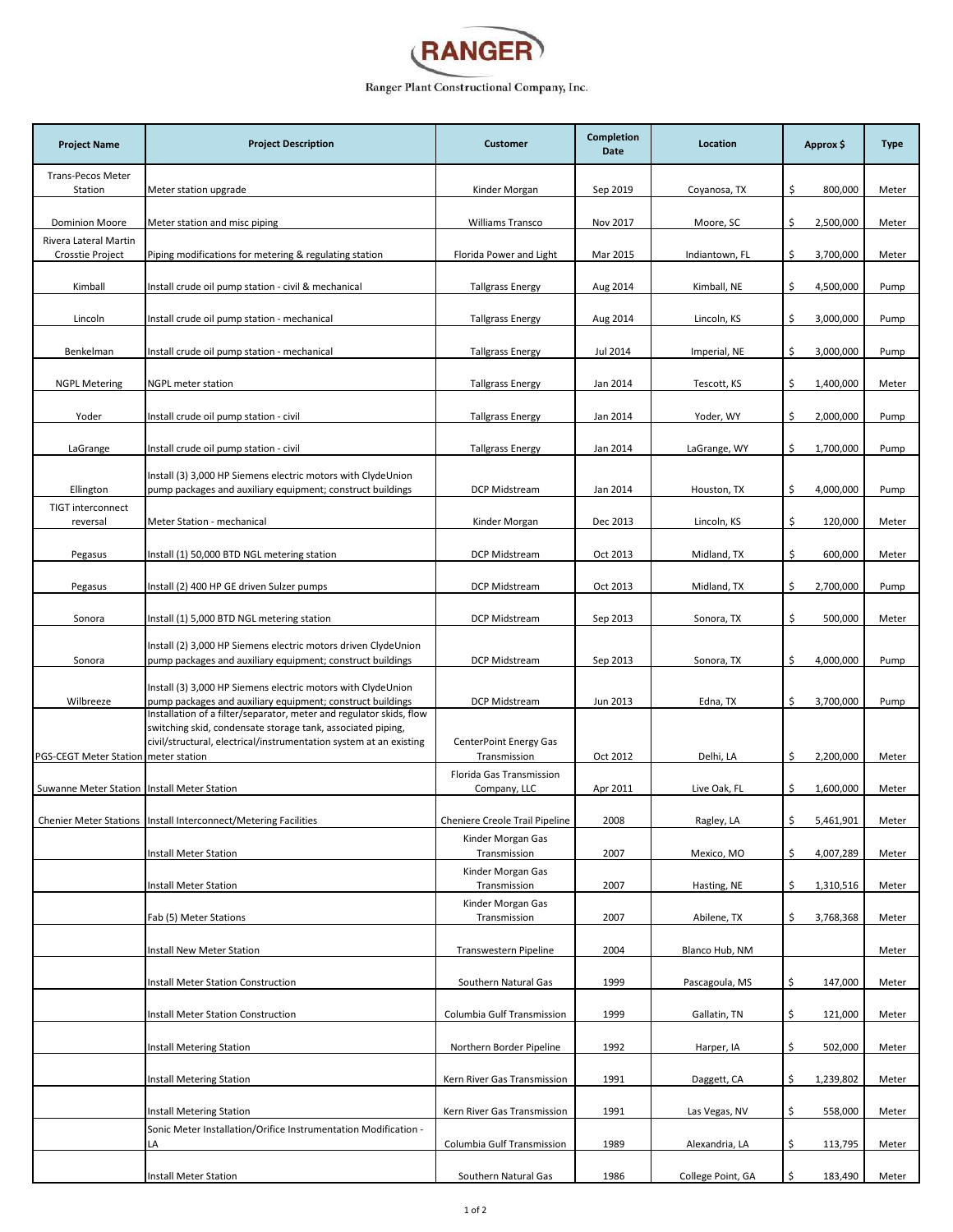

## Ranger Plant Constructional Company, Inc.

| <b>Project Name</b>                            | <b>Project Description</b>                                                                                                                                                                               | <b>Customer</b>                          | Completion<br>Date | Location          | Approx \$       | <b>Type</b> |
|------------------------------------------------|----------------------------------------------------------------------------------------------------------------------------------------------------------------------------------------------------------|------------------------------------------|--------------------|-------------------|-----------------|-------------|
| <b>Trans-Pecos Meter</b><br>Station            | Meter station upgrade                                                                                                                                                                                    | Kinder Morgan                            | Sep 2019           | Coyanosa, TX      | \$<br>800,000   | Meter       |
|                                                |                                                                                                                                                                                                          |                                          |                    |                   |                 |             |
| <b>Dominion Moore</b><br>Rivera Lateral Martin | Meter station and misc piping                                                                                                                                                                            | <b>Williams Transco</b>                  | Nov 2017           | Moore, SC         | \$<br>2,500,000 | Meter       |
| Crosstie Project                               | Piping modifications for metering & regulating station                                                                                                                                                   | Florida Power and Light                  | Mar 2015           | Indiantown, FL    | \$<br>3,700,000 | Meter       |
| Kimball                                        | Install crude oil pump station - civil & mechanical                                                                                                                                                      | <b>Tallgrass Energy</b>                  | Aug 2014           | Kimball, NE       | \$<br>4,500,000 | Pump        |
| Lincoln                                        | Install crude oil pump station - mechanical                                                                                                                                                              | <b>Tallgrass Energy</b>                  | Aug 2014           | Lincoln, KS       | \$<br>3,000,000 | Pump        |
| Benkelman                                      | Install crude oil pump station - mechanical                                                                                                                                                              | <b>Tallgrass Energy</b>                  | Jul 2014           | Imperial, NE      | \$<br>3,000,000 | Pump        |
| <b>NGPL Metering</b>                           | NGPL meter station                                                                                                                                                                                       | <b>Tallgrass Energy</b>                  | Jan 2014           | Tescott, KS       | \$<br>1,400,000 | Meter       |
| Yoder                                          | Install crude oil pump station - civil                                                                                                                                                                   | <b>Tallgrass Energy</b>                  | Jan 2014           | Yoder, WY         | \$<br>2,000,000 | Pump        |
| LaGrange                                       | Install crude oil pump station - civil                                                                                                                                                                   | <b>Tallgrass Energy</b>                  | Jan 2014           | LaGrange, WY      | 1,700,000<br>\$ | Pump        |
| Ellington                                      | Install (3) 3,000 HP Siemens electric motors with ClydeUnion<br>pump packages and auxiliary equipment; construct buildings                                                                               | DCP Midstream                            | Jan 2014           | Houston, TX       | \$<br>4,000,000 | Pump        |
| <b>TIGT interconnect</b>                       |                                                                                                                                                                                                          |                                          |                    |                   |                 |             |
| reversal                                       | Meter Station - mechanical                                                                                                                                                                               | Kinder Morgan                            | Dec 2013           | Lincoln, KS       | \$<br>120,000   | Meter       |
| Pegasus                                        | Install (1) 50,000 BTD NGL metering station                                                                                                                                                              | DCP Midstream                            | Oct 2013           | Midland, TX       | \$<br>600,000   | Meter       |
| Pegasus                                        | Install (2) 400 HP GE driven Sulzer pumps                                                                                                                                                                | DCP Midstream                            | Oct 2013           | Midland, TX       | \$<br>2,700,000 | Pump        |
| Sonora                                         | Install (1) 5,000 BTD NGL metering station                                                                                                                                                               | DCP Midstream                            | Sep 2013           | Sonora, TX        | \$<br>500,000   | Meter       |
|                                                | Install (2) 3,000 HP Siemens electric motors driven ClydeUnion                                                                                                                                           |                                          |                    |                   |                 |             |
| Sonora                                         | pump packages and auxiliary equipment; construct buildings                                                                                                                                               | DCP Midstream                            | Sep 2013           | Sonora, TX        | \$<br>4,000,000 | Pump        |
| Wilbreeze                                      | Install (3) 3,000 HP Siemens electric motors with ClydeUnion<br>pump packages and auxiliary equipment; construct buildings                                                                               | DCP Midstream                            | Jun 2013           | Edna, TX          | \$<br>3,700,000 | Pump        |
|                                                | Installation of a filter/separator, meter and regulator skids, flow<br>switching skid, condensate storage tank, associated piping,<br>civil/structural, electrical/instrumentation system at an existing | <b>CenterPoint Energy Gas</b>            |                    |                   |                 |             |
| PGS-CEGT Meter Station meter station           |                                                                                                                                                                                                          | Transmission<br>Florida Gas Transmission | Oct 2012           | Delhi, LA         | \$<br>2,200,000 | Meter       |
| Suwanne Meter Station Install Meter Station    |                                                                                                                                                                                                          | Company, LLC                             | Apr 2011           | Live Oak, FL      | \$<br>1,600,000 | Meter       |
|                                                | Chenier Meter Stations   Install Interconnect/Metering Facilities                                                                                                                                        | Cheniere Creole Trail Pipeline           | 2008               | Ragley, LA        | 5,461,901       | Meter       |
|                                                | Install Meter Station                                                                                                                                                                                    | Kinder Morgan Gas<br>Transmission        | 2007               | Mexico, MO        | \$<br>4,007,289 | Meter       |
|                                                | Install Meter Station                                                                                                                                                                                    | Kinder Morgan Gas                        | 2007               |                   | \$              | Meter       |
|                                                |                                                                                                                                                                                                          | Transmission<br>Kinder Morgan Gas        |                    | Hasting, NE       | 1,310,516       |             |
|                                                | Fab (5) Meter Stations                                                                                                                                                                                   | Transmission                             | 2007               | Abilene, TX       | \$<br>3,768,368 | Meter       |
|                                                | Install New Meter Station                                                                                                                                                                                | Transwestern Pipeline                    | 2004               | Blanco Hub, NM    |                 | Meter       |
|                                                | <b>Install Meter Station Construction</b>                                                                                                                                                                | Southern Natural Gas                     | 1999               | Pascagoula, MS    | \$<br>147,000   | Meter       |
|                                                | <b>Install Meter Station Construction</b>                                                                                                                                                                | Columbia Gulf Transmission               | 1999               | Gallatin, TN      | \$<br>121,000   | Meter       |
|                                                | Install Metering Station                                                                                                                                                                                 | Northern Border Pipeline                 | 1992               | Harper, IA        | \$<br>502,000   | Meter       |
|                                                | Install Metering Station                                                                                                                                                                                 | Kern River Gas Transmission              | 1991               | Daggett, CA       | \$<br>1,239,802 | Meter       |
|                                                | <b>Install Metering Station</b>                                                                                                                                                                          | Kern River Gas Transmission              | 1991               | Las Vegas, NV     | \$<br>558,000   | Meter       |
|                                                | Sonic Meter Installation/Orifice Instrumentation Modification -<br>LA                                                                                                                                    | Columbia Gulf Transmission               | 1989               | Alexandria, LA    | \$<br>113,795   | Meter       |
|                                                | Install Meter Station                                                                                                                                                                                    | Southern Natural Gas                     | 1986               | College Point, GA | Ś.<br>183,490   | Meter       |